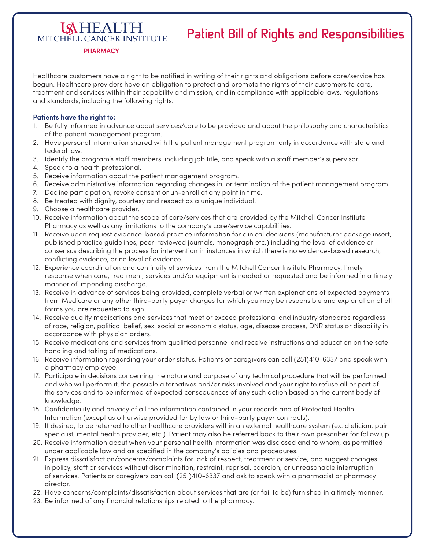## **Patient Bill of Rights and Responsibilities**

MITCHELL CANCER INSTITUTE **PHARMACY**

**ISHEALTH** 

Healthcare customers have a right to be notified in writing of their rights and obligations before care/service has begun. Healthcare providers have an obligation to protect and promote the rights of their customers to care, treatment and services within their capability and mission, and in compliance with applicable laws, regulations and standards, including the following rights:

## **Patients have the right to:**

- 1. Be fully informed in advance about services/care to be provided and about the philosophy and characteristics of the patient management program.
- 2. Have personal information shared with the patient management program only in accordance with state and federal law.
- 3. Identify the program's staff members, including job title, and speak with a staff member's supervisor.
- 4. Speak to a health professional.
- 5. Receive information about the patient management program.
- 6. Receive administrative information regarding changes in, or termination of the patient management program.
- 7. Decline participation, revoke consent or un-enroll at any point in time.
- 8. Be treated with dignity, courtesy and respect as a unique individual.
- 9. Choose a healthcare provider.
- 10. Receive information about the scope of care/services that are provided by the Mitchell Cancer Institute Pharmacy as well as any limitations to the company's care/service capabilities.
- 11. Receive upon request evidence-based practice information for clinical decisions (manufacturer package insert, published practice guidelines, peer-reviewed journals, monograph etc.) including the level of evidence or consensus describing the process for intervention in instances in which there is no evidence-based research, conflicting evidence, or no level of evidence.
- 12. Experience coordination and continuity of services from the Mitchell Cancer Institute Pharmacy, timely response when care, treatment, services and/or equipment is needed or requested and be informed in a timely manner of impending discharge.
- 13. Receive in advance of services being provided, complete verbal or written explanations of expected payments from Medicare or any other third-party payer charges for which you may be responsible and explanation of all forms you are requested to sign.
- 14. Receive quality medications and services that meet or exceed professional and industry standards regardless of race, religion, political belief, sex, social or economic status, age, disease process, DNR status or disability in accordance with physician orders.
- 15. Receive medications and services from qualified personnel and receive instructions and education on the safe handling and taking of medications.
- 16. Receive information regarding your order status. Patients or caregivers can call (251)410-6337 and speak with a pharmacy employee.
- 17. Participate in decisions concerning the nature and purpose of any technical procedure that will be performed and who will perform it, the possible alternatives and/or risks involved and your right to refuse all or part of the services and to be informed of expected consequences of any such action based on the current body of knowledge.
- 18. Confidentiality and privacy of all the information contained in your records and of Protected Health Information (except as otherwise provided for by law or third-party payer contracts).
- 19. If desired, to be referred to other healthcare providers within an external healthcare system (ex. dietician, pain specialist, mental health provider, etc.). Patient may also be referred back to their own prescriber for follow up.
- 20. Receive information about when your personal health information was disclosed and to whom, as permitted under applicable law and as specified in the company's policies and procedures.
- 21. Express dissatisfaction/concerns/complaints for lack of respect, treatment or service, and suggest changes in policy, staff or services without discrimination, restraint, reprisal, coercion, or unreasonable interruption of services. Patients or caregivers can call (251)410-6337 and ask to speak with a pharmacist or pharmacy director.
- 22. Have concerns/complaints/dissatisfaction about services that are (or fail to be) furnished in a timely manner.
- 23. Be informed of any financial relationships related to the pharmacy.